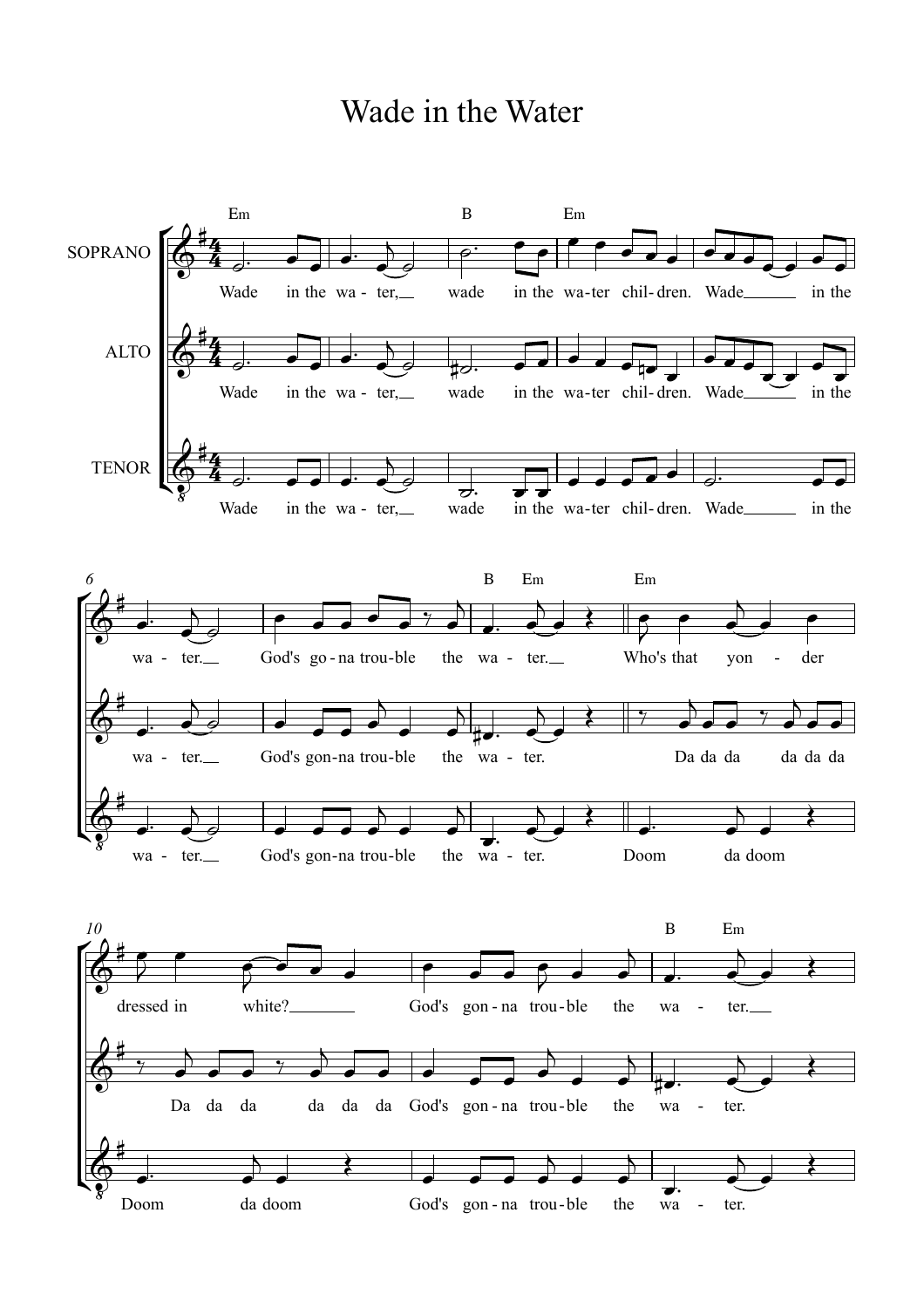## Wade in the Water